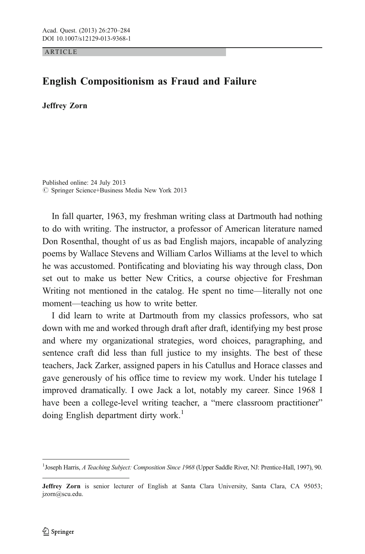ARTICLE

# English Compositionism as Fraud and Failure

Jeffrey Zorn

Published online: 24 July 2013  $\oslash$  Springer Science+Business Media New York 2013

In fall quarter, 1963, my freshman writing class at Dartmouth had nothing to do with writing. The instructor, a professor of American literature named Don Rosenthal, thought of us as bad English majors, incapable of analyzing poems by Wallace Stevens and William Carlos Williams at the level to which he was accustomed. Pontificating and bloviating his way through class, Don set out to make us better New Critics, a course objective for Freshman Writing not mentioned in the catalog. He spent no time—literally not one moment—teaching us how to write better.

I did learn to write at Dartmouth from my classics professors, who sat down with me and worked through draft after draft, identifying my best prose and where my organizational strategies, word choices, paragraphing, and sentence craft did less than full justice to my insights. The best of these teachers, Jack Zarker, assigned papers in his Catullus and Horace classes and gave generously of his office time to review my work. Under his tutelage I improved dramatically. I owe Jack a lot, notably my career. Since 1968 I have been a college-level writing teacher, a "mere classroom practitioner" doing English department dirty work.<sup>1</sup>

<sup>&</sup>lt;sup>1</sup>Joseph Harris, A Teaching Subject: Composition Since 1968 (Upper Saddle River, NJ: Prentice-Hall, 1997), 90.

Jeffrey Zorn is senior lecturer of English at Santa Clara University, Santa Clara, CA 95053; jzorn@scu.edu.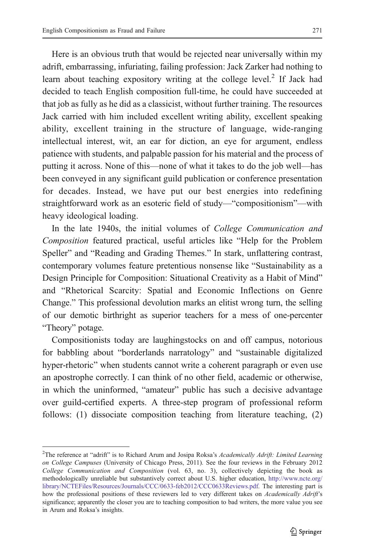Here is an obvious truth that would be rejected near universally within my adrift, embarrassing, infuriating, failing profession: Jack Zarker had nothing to learn about teaching expository writing at the college level.<sup>2</sup> If Jack had decided to teach English composition full-time, he could have succeeded at that job as fully as he did as a classicist, without further training. The resources Jack carried with him included excellent writing ability, excellent speaking ability, excellent training in the structure of language, wide-ranging intellectual interest, wit, an ear for diction, an eye for argument, endless patience with students, and palpable passion for his material and the process of putting it across. None of this—none of what it takes to do the job well—has been conveyed in any significant guild publication or conference presentation for decades. Instead, we have put our best energies into redefining straightforward work as an esoteric field of study—"compositionism"—with heavy ideological loading.

In the late 1940s, the initial volumes of College Communication and Composition featured practical, useful articles like "Help for the Problem Speller" and "Reading and Grading Themes." In stark, unflattering contrast, contemporary volumes feature pretentious nonsense like "Sustainability as a Design Principle for Composition: Situational Creativity as a Habit of Mind" and "Rhetorical Scarcity: Spatial and Economic Inflections on Genre Change." This professional devolution marks an elitist wrong turn, the selling of our demotic birthright as superior teachers for a mess of one-percenter "Theory" potage.

Compositionists today are laughingstocks on and off campus, notorious for babbling about "borderlands narratology" and "sustainable digitalized hyper-rhetoric" when students cannot write a coherent paragraph or even use an apostrophe correctly. I can think of no other field, academic or otherwise, in which the uninformed, "amateur" public has such a decisive advantage over guild-certified experts. A three-step program of professional reform follows: (1) dissociate composition teaching from literature teaching, (2)

<sup>&</sup>lt;sup>2</sup>The reference at "adrift" is to Richard Arum and Josipa Roksa's Academically Adrift: Limited Learning on College Campuses (University of Chicago Press, 2011). See the four reviews in the February 2012 College Communication and Composition (vol. 63, no. 3), collectively depicting the book as methodologically unreliable but substantively correct about U.S. higher education, [http://www.ncte.org/](http://www.ncte.org/library/NCTEFiles/Resources/Journals/CCC/0633-feb2012/CCC0633Reviews.pdf) [library/NCTEFiles/Resources/Journals/CCC/0633-feb2012/CCC0633Reviews.pdf.](http://www.ncte.org/library/NCTEFiles/Resources/Journals/CCC/0633-feb2012/CCC0633Reviews.pdf) The interesting part is how the professional positions of these reviewers led to very different takes on Academically Adrift's significance; apparently the closer you are to teaching composition to bad writers, the more value you see in Arum and Roksa's insights.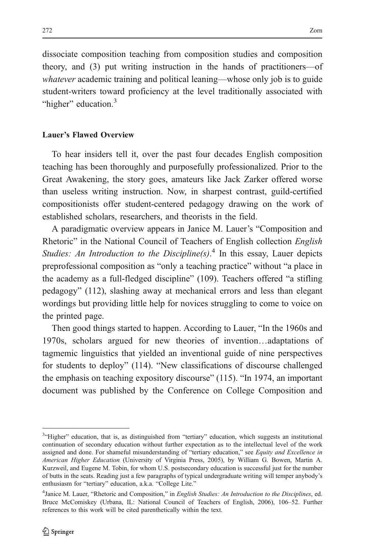dissociate composition teaching from composition studies and composition theory, and (3) put writing instruction in the hands of practitioners—of whatever academic training and political leaning—whose only job is to guide student-writers toward proficiency at the level traditionally associated with "higher" education.<sup>3</sup>

## Lauer's Flawed Overview

To hear insiders tell it, over the past four decades English composition teaching has been thoroughly and purposefully professionalized. Prior to the Great Awakening, the story goes, amateurs like Jack Zarker offered worse than useless writing instruction. Now, in sharpest contrast, guild-certified compositionists offer student-centered pedagogy drawing on the work of established scholars, researchers, and theorists in the field.

A paradigmatic overview appears in Janice M. Lauer's "Composition and Rhetoric" in the National Council of Teachers of English collection *English* Studies: An Introduction to the Discipline(s).<sup>4</sup> In this essay, Lauer depicts preprofessional composition as "only a teaching practice" without "a place in the academy as a full-fledged discipline" (109). Teachers offered "a stifling pedagogy" (112), slashing away at mechanical errors and less than elegant wordings but providing little help for novices struggling to come to voice on the printed page.

Then good things started to happen. According to Lauer, "In the 1960s and 1970s, scholars argued for new theories of invention…adaptations of tagmemic linguistics that yielded an inventional guide of nine perspectives for students to deploy" (114). "New classifications of discourse challenged the emphasis on teaching expository discourse" (115). "In 1974, an important document was published by the Conference on College Composition and

<sup>&</sup>lt;sup>3</sup>"Higher" education, that is, as distinguished from "tertiary" education, which suggests an institutional continuation of secondary education without further expectation as to the intellectual level of the work assigned and done. For shameful misunderstanding of "tertiary education," see Equity and Excellence in American Higher Education (University of Virginia Press, 2005), by William G. Bowen, Martin A. Kurzweil, and Eugene M. Tobin, for whom U.S. postsecondary education is successful just for the number of butts in the seats. Reading just a few paragraphs of typical undergraduate writing will temper anybody's enthusiasm for "tertiary" education, a.k.a. "College Lite."

<sup>&</sup>lt;sup>4</sup>Janice M. Lauer, "Rhetoric and Composition," in English Studies: An Introduction to the Disciplines, ed. Bruce McComiskey (Urbana, IL: National Council of Teachers of English, 2006), 106–52. Further references to this work will be cited parenthetically within the text.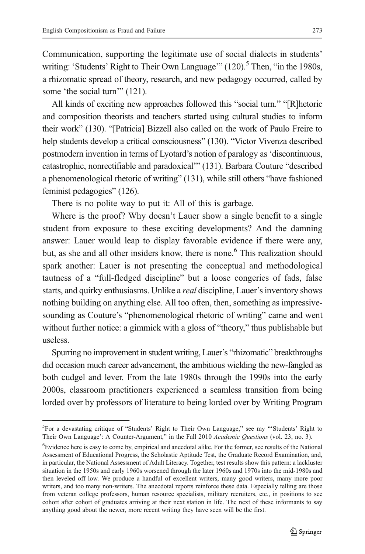Communication, supporting the legitimate use of social dialects in students' writing: 'Students' Right to Their Own Language'"  $(120)$ .<sup>5</sup> Then, "in the 1980s, a rhizomatic spread of theory, research, and new pedagogy occurred, called by some 'the social turn'" (121).

All kinds of exciting new approaches followed this "social turn." "[R]hetoric and composition theorists and teachers started using cultural studies to inform their work" (130). "[Patricia] Bizzell also called on the work of Paulo Freire to help students develop a critical consciousness" (130). "Victor Vivenza described postmodern invention in terms of Lyotard's notion of paralogy as 'discontinuous, catastrophic, nonrectifiable and paradoxical'" (131). Barbara Couture "described a phenomenological rhetoric of writing" (131), while still others "have fashioned feminist pedagogies" (126).

There is no polite way to put it: All of this is garbage.

Where is the proof? Why doesn't Lauer show a single benefit to a single student from exposure to these exciting developments? And the damning answer: Lauer would leap to display favorable evidence if there were any, but, as she and all other insiders know, there is none.<sup>6</sup> This realization should spark another: Lauer is not presenting the conceptual and methodological tautness of a "full-fledged discipline" but a loose congeries of fads, false starts, and quirky enthusiasms. Unlike a *real* discipline, Lauer's inventory shows nothing building on anything else. All too often, then, something as impressivesounding as Couture's "phenomenological rhetoric of writing" came and went without further notice: a gimmick with a gloss of "theory," thus publishable but useless.

Spurring no improvement in student writing, Lauer's "rhizomatic" breakthroughs did occasion much career advancement, the ambitious wielding the new-fangled as both cudgel and lever. From the late 1980s through the 1990s into the early 2000s, classroom practitioners experienced a seamless transition from being lorded over by professors of literature to being lorded over by Writing Program

<sup>&</sup>lt;sup>5</sup>For a devastating critique of "Students' Right to Their Own Language," see my "'Students' Right to Their Own Language': A Counter-Argument," in the Fall 2010 Academic Questions (vol. 23, no. 3).

<sup>&</sup>lt;sup>6</sup>Evidence here is easy to come by, empirical and anecdotal alike. For the former, see results of the National Assessment of Educational Progress, the Scholastic Aptitude Test, the Graduate Record Examination, and, in particular, the National Assessment of Adult Literacy. Together, test results show this pattern: a lackluster situation in the 1950s and early 1960s worsened through the later 1960s and 1970s into the mid-1980s and then leveled off low. We produce a handful of excellent writers, many good writers, many more poor writers, and too many non-writers. The anecdotal reports reinforce these data. Especially telling are those from veteran college professors, human resource specialists, military recruiters, etc., in positions to see cohort after cohort of graduates arriving at their next station in life. The next of these informants to say anything good about the newer, more recent writing they have seen will be the first.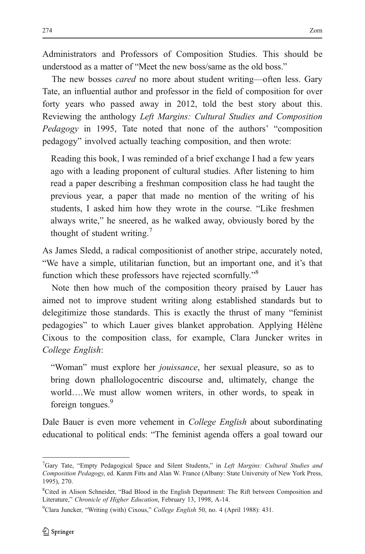Administrators and Professors of Composition Studies. This should be understood as a matter of "Meet the new boss/same as the old boss."

The new bosses cared no more about student writing—often less. Gary Tate, an influential author and professor in the field of composition for over forty years who passed away in 2012, told the best story about this. Reviewing the anthology Left Margins: Cultural Studies and Composition Pedagogy in 1995. Tate noted that none of the authors' "composition" pedagogy" involved actually teaching composition, and then wrote:

Reading this book, I was reminded of a brief exchange I had a few years ago with a leading proponent of cultural studies. After listening to him read a paper describing a freshman composition class he had taught the previous year, a paper that made no mention of the writing of his students, I asked him how they wrote in the course. "Like freshmen always write," he sneered, as he walked away, obviously bored by the thought of student writing.<sup>7</sup>

As James Sledd, a radical compositionist of another stripe, accurately noted, "We have a simple, utilitarian function, but an important one, and it's that function which these professors have rejected scornfully."<sup>8</sup>

Note then how much of the composition theory praised by Lauer has aimed not to improve student writing along established standards but to delegitimize those standards. This is exactly the thrust of many "feminist pedagogies" to which Lauer gives blanket approbation. Applying Hélène Cixous to the composition class, for example, Clara Juncker writes in College English:

"Woman" must explore her jouissance, her sexual pleasure, so as to bring down phallologocentric discourse and, ultimately, change the world….We must allow women writers, in other words, to speak in foreign tongues.<sup>9</sup>

Dale Bauer is even more vehement in *College English* about subordinating educational to political ends: "The feminist agenda offers a goal toward our

<sup>&</sup>lt;sup>7</sup>Gary Tate, "Empty Pedagogical Space and Silent Students," in Left Margins: Cultural Studies and Composition Pedagogy, ed. Karen Fitts and Alan W. France (Albany: State University of New York Press, 1995), 270.

<sup>&</sup>lt;sup>8</sup>Cited in Alison Schneider, "Bad Blood in the English Department: The Rift between Composition and Literature," Chronicle of Higher Education, February 13, 1998, A-14.

<sup>&</sup>lt;sup>9</sup>Clara Juncker, "Writing (with) Cixous," College English 50, no. 4 (April 1988): 431.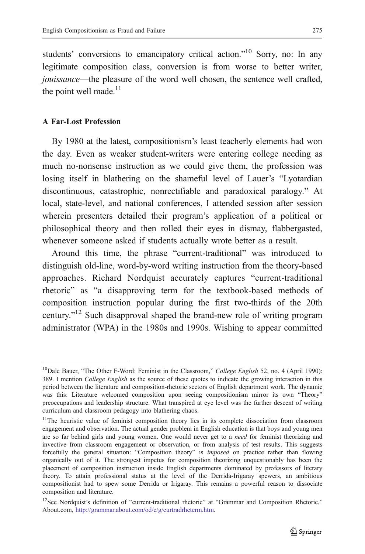students' conversions to emancipatory critical action."<sup>10</sup> Sorry, no: In any legitimate composition class, conversion is from worse to better writer, jouissance—the pleasure of the word well chosen, the sentence well crafted, the point well made. $^{11}$ 

### A Far-Lost Profession

By 1980 at the latest, compositionism's least teacherly elements had won the day. Even as weaker student-writers were entering college needing as much no-nonsense instruction as we could give them, the profession was losing itself in blathering on the shameful level of Lauer's "Lyotardian discontinuous, catastrophic, nonrectifiable and paradoxical paralogy." At local, state-level, and national conferences, I attended session after session wherein presenters detailed their program's application of a political or philosophical theory and then rolled their eyes in dismay, flabbergasted, whenever someone asked if students actually wrote better as a result.

Around this time, the phrase "current-traditional" was introduced to distinguish old-line, word-by-word writing instruction from the theory-based approaches. Richard Nordquist accurately captures "current-traditional rhetoric" as "a disapproving term for the textbook-based methods of composition instruction popular during the first two-thirds of the 20th century."<sup>12</sup> Such disapproval shaped the brand-new role of writing program administrator (WPA) in the 1980s and 1990s. Wishing to appear committed

<sup>&</sup>lt;sup>10</sup>Dale Bauer, "The Other F-Word: Feminist in the Classroom," College English 52, no. 4 (April 1990): 389. I mention College English as the source of these quotes to indicate the growing interaction in this period between the literature and composition-rhetoric sectors of English department work. The dynamic was this: Literature welcomed composition upon seeing compositionism mirror its own "Theory" preoccupations and leadership structure. What transpired at eye level was the further descent of writing curriculum and classroom pedagogy into blathering chaos.

<sup>&</sup>lt;sup>11</sup>The heuristic value of feminist composition theory lies in its complete dissociation from classroom engagement and observation. The actual gender problem in English education is that boys and young men are so far behind girls and young women. One would never get to a need for feminist theorizing and invective from classroom engagement or observation, or from analysis of test results. This suggests forcefully the general situation: "Composition theory" is imposed on practice rather than flowing organically out of it. The strongest impetus for composition theorizing unquestionably has been the placement of composition instruction inside English departments dominated by professors of literary theory. To attain professional status at the level of the Derrida-Irigaray spewers, an ambitious compositionist had to spew some Derrida or Irigaray. This remains a powerful reason to dissociate composition and literature.

<sup>&</sup>lt;sup>12</sup>See Nordquist's definition of "current-traditional rhetoric" at "Grammar and Composition Rhetoric," About.com, <http://grammar.about.com/od/c/g/curtradrheterm.htm>.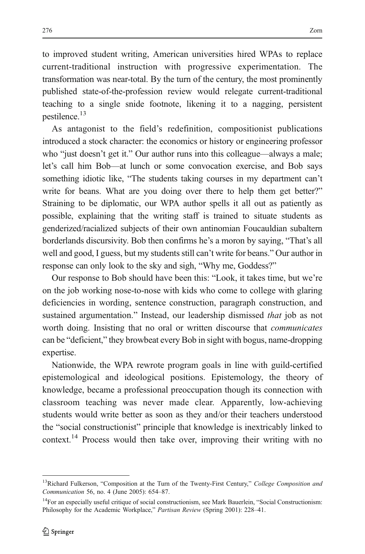to improved student writing, American universities hired WPAs to replace current-traditional instruction with progressive experimentation. The transformation was near-total. By the turn of the century, the most prominently published state-of-the-profession review would relegate current-traditional teaching to a single snide footnote, likening it to a nagging, persistent pestilence.<sup>13</sup>

As antagonist to the field's redefinition, compositionist publications introduced a stock character: the economics or history or engineering professor who "just doesn't get it." Our author runs into this colleague—always a male; let's call him Bob—at lunch or some convocation exercise, and Bob says something idiotic like, "The students taking courses in my department can't write for beans. What are you doing over there to help them get better?" Straining to be diplomatic, our WPA author spells it all out as patiently as possible, explaining that the writing staff is trained to situate students as genderized/racialized subjects of their own antinomian Foucauldian subaltern borderlands discursivity. Bob then confirms he's a moron by saying, "That's all well and good, I guess, but my students still can't write for beans." Our author in response can only look to the sky and sigh, "Why me, Goddess?"

Our response to Bob should have been this: "Look, it takes time, but we're on the job working nose-to-nose with kids who come to college with glaring deficiencies in wording, sentence construction, paragraph construction, and sustained argumentation." Instead, our leadership dismissed *that* job as not worth doing. Insisting that no oral or written discourse that communicates can be "deficient," they browbeat every Bob in sight with bogus, name-dropping expertise.

Nationwide, the WPA rewrote program goals in line with guild-certified epistemological and ideological positions. Epistemology, the theory of knowledge, became a professional preoccupation though its connection with classroom teaching was never made clear. Apparently, low-achieving students would write better as soon as they and/or their teachers understood the "social constructionist" principle that knowledge is inextricably linked to context.<sup>14</sup> Process would then take over, improving their writing with no

<sup>&</sup>lt;sup>13</sup>Richard Fulkerson, "Composition at the Turn of the Twenty-First Century," College Composition and Communication 56, no. 4 (June 2005): 654–87.

<sup>&</sup>lt;sup>14</sup>For an especially useful critique of social constructionism, see Mark Bauerlein, "Social Constructionism: Philosophy for the Academic Workplace," Partisan Review (Spring 2001): 228-41.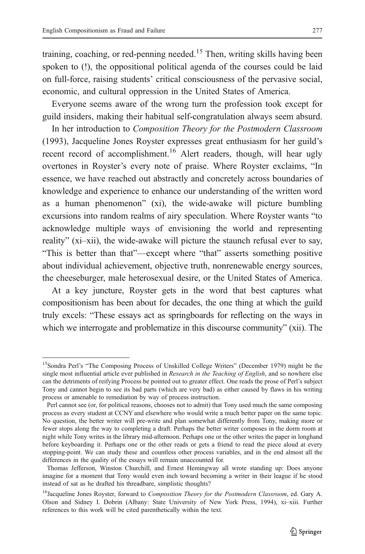training, coaching, or red-penning needed.<sup>15</sup> Then, writing skills having been spoken to (!), the oppositional political agenda of the courses could be laid on full-force, raising students' critical consciousness of the pervasive social, economic, and cultural oppression in the United States of America.

Everyone seems aware of the wrong turn the profession took except for guild insiders, making their habitual self-congratulation always seem absurd.

In her introduction to Composition Theory for the Postmodern Classroom (1993), Jacqueline Jones Royster expresses great enthusiasm for her guild's recent record of accomplishment.<sup>16</sup> Alert readers, though, will hear ugly overtones in Royster's every note of praise. Where Royster exclaims, "In essence, we have reached out abstractly and concretely across boundaries of knowledge and experience to enhance our understanding of the written word as a human phenomenon" (xi), the wide-awake will picture bumbling excursions into random realms of airy speculation. Where Royster wants "to acknowledge multiple ways of envisioning the world and representing reality" (xi–xii), the wide-awake will picture the staunch refusal ever to say, "This is better than that"—except where "that" asserts something positive about individual achievement, objective truth, nonrenewable energy sources, the cheeseburger, male heterosexual desire, or the United States of America.

At a key juncture, Royster gets in the word that best captures what compositionism has been about for decades, the one thing at which the guild truly excels: "These essays act as springboards for reflecting on the ways in which we interrogate and problematize in this discourse community" (xii). The

<sup>&</sup>lt;sup>15</sup>Sondra Perl's "The Composing Process of Unskilled College Writers" (December 1979) might be the single most influential article ever published in Research in the Teaching of English, and so nowhere else can the detriments of reifying Process be pointed out to greater effect. One reads the prose of Perl's subject Tony and cannot begin to see its bad parts (which are very bad) as either caused by flaws in his writing process or amenable to remediation by way of process instruction.

Perl cannot see (or, for political reasons, chooses not to admit) that Tony used much the same composing process as every student at CCNY and elsewhere who would write a much better paper on the same topic. No question, the better writer will pre-write and plan somewhat differently from Tony, making more or fewer stops along the way to completing a draft. Perhaps the better writer composes in the dorm room at night while Tony writes in the library mid-afternoon. Perhaps one or the other writes the paper in longhand before keyboarding it. Perhaps one or the other reads or gets a friend to read the piece aloud at every stopping-point. We can study these and countless other process variables, and in the end almost all the differences in the quality of the essays will remain unaccounted for.

Thomas Jefferson, Winston Churchill, and Ernest Hemingway all wrote standing up: Does anyone imagine for a moment that Tony would even inch toward becoming a writer in their league if he stood instead of sat as he drafted his threadbare, simplistic thoughts?

<sup>&</sup>lt;sup>16</sup>Jacqueline Jones Royster, forward to Composition Theory for the Postmodern Classroom, ed. Gary A. Olson and Sidney I. Dobrin (Albany: State University of New York Press, 1994), xi–xiii. Further references to this work will be cited parenthetically within the text.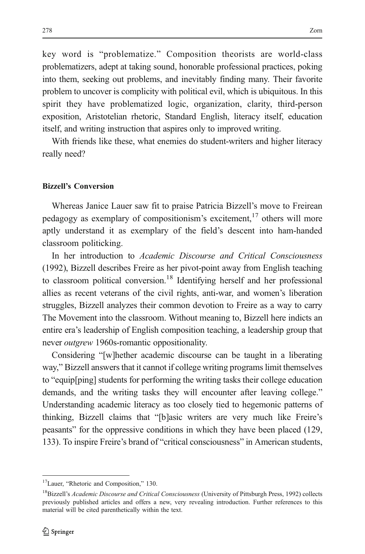key word is "problematize." Composition theorists are world-class problematizers, adept at taking sound, honorable professional practices, poking into them, seeking out problems, and inevitably finding many. Their favorite problem to uncover is complicity with political evil, which is ubiquitous. In this spirit they have problematized logic, organization, clarity, third-person exposition, Aristotelian rhetoric, Standard English, literacy itself, education itself, and writing instruction that aspires only to improved writing.

With friends like these, what enemies do student-writers and higher literacy really need?

### Bizzell's Conversion

Whereas Janice Lauer saw fit to praise Patricia Bizzell's move to Freirean pedagogy as exemplary of compositionism's excitement,<sup>17</sup> others will more aptly understand it as exemplary of the field's descent into ham-handed classroom politicking.

In her introduction to Academic Discourse and Critical Consciousness (1992), Bizzell describes Freire as her pivot-point away from English teaching to classroom political conversion.<sup>18</sup> Identifying herself and her professional allies as recent veterans of the civil rights, anti-war, and women's liberation struggles, Bizzell analyzes their common devotion to Freire as a way to carry The Movement into the classroom. Without meaning to, Bizzell here indicts an entire era's leadership of English composition teaching, a leadership group that never *outgrew* 1960s-romantic oppositionality.

Considering "[w]hether academic discourse can be taught in a liberating way," Bizzell answers that it cannot if college writing programs limit themselves to "equip[ping] students for performing the writing tasks their college education demands, and the writing tasks they will encounter after leaving college." Understanding academic literacy as too closely tied to hegemonic patterns of thinking, Bizzell claims that "[b]asic writers are very much like Freire's peasants" for the oppressive conditions in which they have been placed (129, 133). To inspire Freire's brand of "critical consciousness" in American students,

<sup>&</sup>lt;sup>17</sup>Lauer, "Rhetoric and Composition," 130.

<sup>&</sup>lt;sup>18</sup>Bizzell's Academic Discourse and Critical Consciousness (University of Pittsburgh Press, 1992) collects previously published articles and offers a new, very revealing introduction. Further references to this material will be cited parenthetically within the text.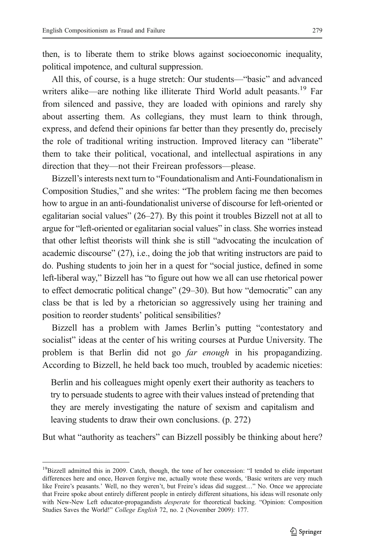then, is to liberate them to strike blows against socioeconomic inequality, political impotence, and cultural suppression.

All this, of course, is a huge stretch: Our students—"basic" and advanced writers alike—are nothing like illiterate Third World adult peasants.<sup>19</sup> Far from silenced and passive, they are loaded with opinions and rarely shy about asserting them. As collegians, they must learn to think through, express, and defend their opinions far better than they presently do, precisely the role of traditional writing instruction. Improved literacy can "liberate" them to take their political, vocational, and intellectual aspirations in any direction that they—not their Freirean professors—please.

Bizzell's interests next turn to "Foundationalism and Anti-Foundationalism in Composition Studies," and she writes: "The problem facing me then becomes how to argue in an anti-foundationalist universe of discourse for left-oriented or egalitarian social values" (26–27). By this point it troubles Bizzell not at all to argue for "left-oriented or egalitarian social values" in class. She worries instead that other leftist theorists will think she is still "advocating the inculcation of academic discourse" (27), i.e., doing the job that writing instructors are paid to do. Pushing students to join her in a quest for "social justice, defined in some left-liberal way," Bizzell has "to figure out how we all can use rhetorical power to effect democratic political change" (29–30). But how "democratic" can any class be that is led by a rhetorician so aggressively using her training and position to reorder students' political sensibilities?

Bizzell has a problem with James Berlin's putting "contestatory and socialist" ideas at the center of his writing courses at Purdue University. The problem is that Berlin did not go *far enough* in his propagandizing. According to Bizzell, he held back too much, troubled by academic niceties:

Berlin and his colleagues might openly exert their authority as teachers to try to persuade students to agree with their values instead of pretending that they are merely investigating the nature of sexism and capitalism and leaving students to draw their own conclusions. (p. 272)

But what "authority as teachers" can Bizzell possibly be thinking about here?

<sup>&</sup>lt;sup>19</sup>Bizzell admitted this in 2009. Catch, though, the tone of her concession: "I tended to elide important differences here and once, Heaven forgive me, actually wrote these words, 'Basic writers are very much like Freire's peasants.' Well, no they weren't, but Freire's ideas did suggest…" No. Once we appreciate that Freire spoke about entirely different people in entirely different situations, his ideas will resonate only with New-New Left educator-propagandists *desperate* for theoretical backing. "Opinion: Composition Studies Saves the World!" College English 72, no. 2 (November 2009): 177.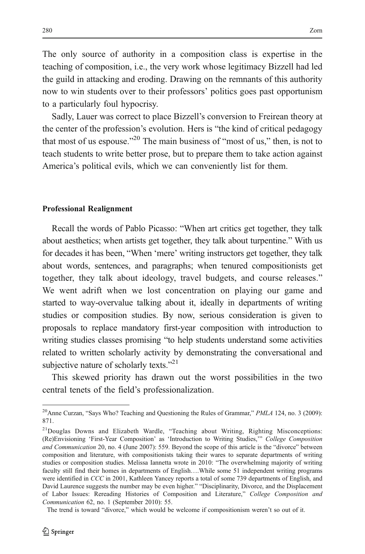The only source of authority in a composition class is expertise in the teaching of composition, i.e., the very work whose legitimacy Bizzell had led the guild in attacking and eroding. Drawing on the remnants of this authority now to win students over to their professors' politics goes past opportunism to a particularly foul hypocrisy.

Sadly, Lauer was correct to place Bizzell's conversion to Freirean theory at the center of the profession's evolution. Hers is "the kind of critical pedagogy that most of us espouse."<sup>20</sup> The main business of "most of us," then, is not to teach students to write better prose, but to prepare them to take action against America's political evils, which we can conveniently list for them.

#### Professional Realignment

Recall the words of Pablo Picasso: "When art critics get together, they talk about aesthetics; when artists get together, they talk about turpentine." With us for decades it has been, "When 'mere' writing instructors get together, they talk about words, sentences, and paragraphs; when tenured compositionists get together, they talk about ideology, travel budgets, and course releases." We went adrift when we lost concentration on playing our game and started to way-overvalue talking about it, ideally in departments of writing studies or composition studies. By now, serious consideration is given to proposals to replace mandatory first-year composition with introduction to writing studies classes promising "to help students understand some activities related to written scholarly activity by demonstrating the conversational and subjective nature of scholarly texts."<sup>21</sup>

This skewed priority has drawn out the worst possibilities in the two central tenets of the field's professionalization.

The trend is toward "divorce," which would be welcome if compositionism weren't so out of it.

<sup>&</sup>lt;sup>20</sup>Anne Curzan, "Says Who? Teaching and Questioning the Rules of Grammar," *PMLA* 124, no. 3 (2009): 871.

 $21$ Douglas Downs and Elizabeth Wardle, "Teaching about Writing, Righting Misconceptions: (Re)Envisioning 'First-Year Composition' as 'Introduction to Writing Studies,'" College Composition and Communication 20, no. 4 (June 2007): 559. Beyond the scope of this article is the "divorce" between composition and literature, with compositionists taking their wares to separate departments of writing studies or composition studies. Melissa Iannetta wrote in 2010: "The overwhelming majority of writing faculty still find their homes in departments of English….While some 51 independent writing programs were identified in CCC in 2001, Kathleen Yancey reports a total of some 739 departments of English, and David Laurence suggests the number may be even higher." "Disciplinarity, Divorce, and the Displacement of Labor Issues: Rereading Histories of Composition and Literature," College Composition and Communication 62, no. 1 (September 2010): 55.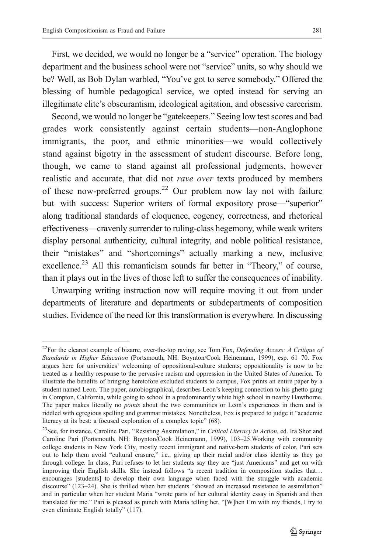First, we decided, we would no longer be a "service" operation. The biology department and the business school were not "service" units, so why should we be? Well, as Bob Dylan warbled, "You've got to serve somebody." Offered the blessing of humble pedagogical service, we opted instead for serving an illegitimate elite's obscurantism, ideological agitation, and obsessive careerism.

Second, we would no longer be "gatekeepers." Seeing low test scores and bad grades work consistently against certain students—non-Anglophone immigrants, the poor, and ethnic minorities—we would collectively stand against bigotry in the assessment of student discourse. Before long, though, we came to stand against all professional judgments, however realistic and accurate, that did not *rave over* texts produced by members of these now-preferred groups.<sup>22</sup> Our problem now lay not with failure but with success: Superior writers of formal expository prose—"superior" along traditional standards of eloquence, cogency, correctness, and rhetorical effectiveness—cravenly surrender to ruling-class hegemony, while weak writers display personal authenticity, cultural integrity, and noble political resistance, their "mistakes" and "shortcomings" actually marking a new, inclusive excellence.<sup>23</sup> All this romanticism sounds far better in "Theory," of course, than it plays out in the lives of those left to suffer the consequences of inability.

Unwarping writing instruction now will require moving it out from under departments of literature and departments or subdepartments of composition studies. Evidence of the need for this transformation is everywhere. In discussing

 $^{22}$ For the clearest example of bizarre, over-the-top raving, see Tom Fox, Defending Access: A Critique of Standards in Higher Education (Portsmouth, NH: Boynton/Cook Heinemann, 1999), esp. 61–70. Fox argues here for universities' welcoming of oppositional-culture students; oppositionality is now to be treated as a healthy response to the pervasive racism and oppression in the United States of America. To illustrate the benefits of bringing heretofore excluded students to campus, Fox prints an entire paper by a student named Leon. The paper, autobiographical, describes Leon's keeping connection to his ghetto gang in Compton, California, while going to school in a predominantly white high school in nearby Hawthorne. The paper makes literally no *points* about the two communities or Leon's experiences in them and is riddled with egregious spelling and grammar mistakes. Nonetheless, Fox is prepared to judge it "academic literacy at its best: a focused exploration of a complex topic" (68).

<sup>&</sup>lt;sup>23</sup>See, for instance, Caroline Pari, "Resisting Assimilation," in Critical Literacy in Action, ed. Ira Shor and Caroline Pari (Portsmouth, NH: Boynton/Cook Heinemann, 1999), 103–25.Working with community college students in New York City, mostly recent immigrant and native-born students of color, Pari sets out to help them avoid "cultural erasure," i.e., giving up their racial and/or class identity as they go through college. In class, Pari refuses to let her students say they are "just Americans" and get on with improving their English skills. She instead follows "a recent tradition in composition studies that… encourages [students] to develop their own language when faced with the struggle with academic discourse" (123–24). She is thrilled when her students "showed an increased resistance to assimilation" and in particular when her student Maria "wrote parts of her cultural identity essay in Spanish and then translated for me." Pari is pleased as punch with Maria telling her, "[W]hen I'm with my friends, I try to even eliminate English totally" (117).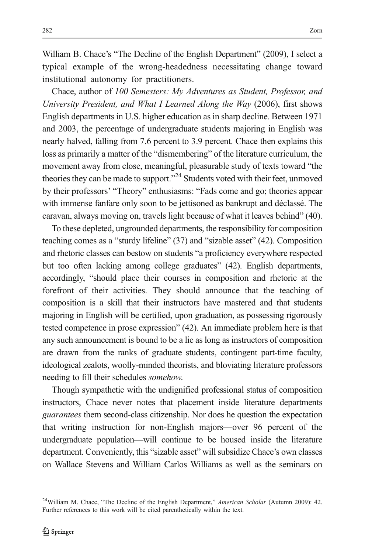William B. Chace's "The Decline of the English Department" (2009), I select a typical example of the wrong-headedness necessitating change toward institutional autonomy for practitioners.

Chace, author of 100 Semesters: My Adventures as Student, Professor, and University President, and What I Learned Along the Way (2006), first shows English departments in U.S. higher education as in sharp decline. Between 1971 and 2003, the percentage of undergraduate students majoring in English was nearly halved, falling from 7.6 percent to 3.9 percent. Chace then explains this loss as primarily a matter of the "dismembering" of the literature curriculum, the movement away from close, meaningful, pleasurable study of texts toward "the theories they can be made to support."<sup>24</sup> Students voted with their feet, unmoved by their professors' "Theory" enthusiasms: "Fads come and go; theories appear with immense fanfare only soon to be jettisoned as bankrupt and déclassé. The caravan, always moving on, travels light because of what it leaves behind" (40).

To these depleted, ungrounded departments, the responsibility for composition teaching comes as a "sturdy lifeline" (37) and "sizable asset" (42). Composition and rhetoric classes can bestow on students "a proficiency everywhere respected but too often lacking among college graduates" (42). English departments, accordingly, "should place their courses in composition and rhetoric at the forefront of their activities. They should announce that the teaching of composition is a skill that their instructors have mastered and that students majoring in English will be certified, upon graduation, as possessing rigorously tested competence in prose expression" (42). An immediate problem here is that any such announcement is bound to be a lie as long as instructors of composition are drawn from the ranks of graduate students, contingent part-time faculty, ideological zealots, woolly-minded theorists, and bloviating literature professors needing to fill their schedules somehow.

Though sympathetic with the undignified professional status of composition instructors, Chace never notes that placement inside literature departments guarantees them second-class citizenship. Nor does he question the expectation that writing instruction for non-English majors—over 96 percent of the undergraduate population—will continue to be housed inside the literature department. Conveniently, this "sizable asset" will subsidize Chace's own classes on Wallace Stevens and William Carlos Williams as well as the seminars on

<sup>&</sup>lt;sup>24</sup>William M. Chace, "The Decline of the English Department," American Scholar (Autumn 2009): 42. Further references to this work will be cited parenthetically within the text.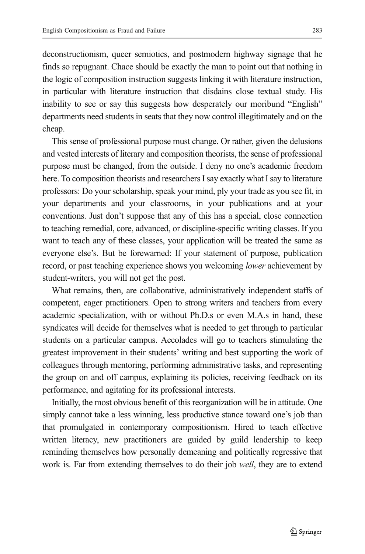deconstructionism, queer semiotics, and postmodern highway signage that he finds so repugnant. Chace should be exactly the man to point out that nothing in the logic of composition instruction suggests linking it with literature instruction, in particular with literature instruction that disdains close textual study. His inability to see or say this suggests how desperately our moribund "English" departments need students in seats that they now control illegitimately and on the cheap.

This sense of professional purpose must change. Or rather, given the delusions and vested interests of literary and composition theorists, the sense of professional purpose must be changed, from the outside. I deny no one's academic freedom here. To composition theorists and researchers I say exactly what I say to literature professors: Do your scholarship, speak your mind, ply your trade as you see fit, in your departments and your classrooms, in your publications and at your conventions. Just don't suppose that any of this has a special, close connection to teaching remedial, core, advanced, or discipline-specific writing classes. If you want to teach any of these classes, your application will be treated the same as everyone else's. But be forewarned: If your statement of purpose, publication record, or past teaching experience shows you welcoming *lower* achievement by student-writers, you will not get the post.

What remains, then, are collaborative, administratively independent staffs of competent, eager practitioners. Open to strong writers and teachers from every academic specialization, with or without Ph.D.s or even M.A.s in hand, these syndicates will decide for themselves what is needed to get through to particular students on a particular campus. Accolades will go to teachers stimulating the greatest improvement in their students' writing and best supporting the work of colleagues through mentoring, performing administrative tasks, and representing the group on and off campus, explaining its policies, receiving feedback on its performance, and agitating for its professional interests.

Initially, the most obvious benefit of this reorganization will be in attitude. One simply cannot take a less winning, less productive stance toward one's job than that promulgated in contemporary compositionism. Hired to teach effective written literacy, new practitioners are guided by guild leadership to keep reminding themselves how personally demeaning and politically regressive that work is. Far from extending themselves to do their job *well*, they are to extend